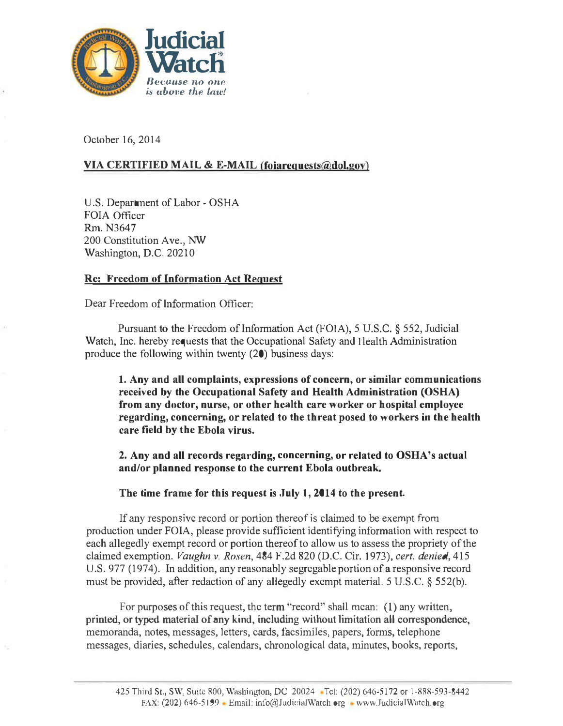

October 16, 2014

### <u>VIA CERTIFIED MAIL & E-MAIL (foiarequests $(a)$ dol.gov)</u>

U.S. Department of Labor - OSHA FOIA Officer Rm. N3647 200 Constitution Ave., NW Washington, D.C. 20210

#### <u>Re: Freedom of Information Act Request</u>

Dear Freedom of Information Officer:

Pursuant to the Freedom of Information Act (FOIA), 5 U.S.C.  $\S$  552, Judicial Watch, Inc. hereby requests that the Occupational Safety and I lealth Administration produce the following within twenty (20) business days:

1. Any and all complaints, expressions of concern, or similar communications received by the Occupational Safety and Health Administration (OSHA) from any doctor, nurse, or other health care worker or hospital employee regarding, concerning, or related to the threat posed to workers in the health care field by the Ebola virus.

2. Any and all records regarding, concerning, or related to OSHA's actual and/or planned response to the current Ebola outbreak.

The time frame for this request is July 1, 2014 to the present.

If any responsive record or portion thereof is claimed to be exempt from production under FOIA, please provide sufficient identifying information with respect to each allegedly exempt record or portion thereof to allow us to assess the propriety of the claimed exemption. Vaughn v. Rosen, 484 F.2d 820 (D.C. Cir. 1973), cert. denied, 415 U.S. 977 (1974). In addition, any reasonably segregable portion of a responsive record must be provided, after redaction of any allegedly exempt material. 5 U.S.C. § 552(b).

For purposes of this request, the term "record" shall mean: (1) any written, printed, or typed material of any kind, including without limitation all correspondence, memoranda, notes, messages, letters, cards, facsimiles, papers, forms, telephone messages, diaries, schedules, calendars, chronological data, minutes, books, reports,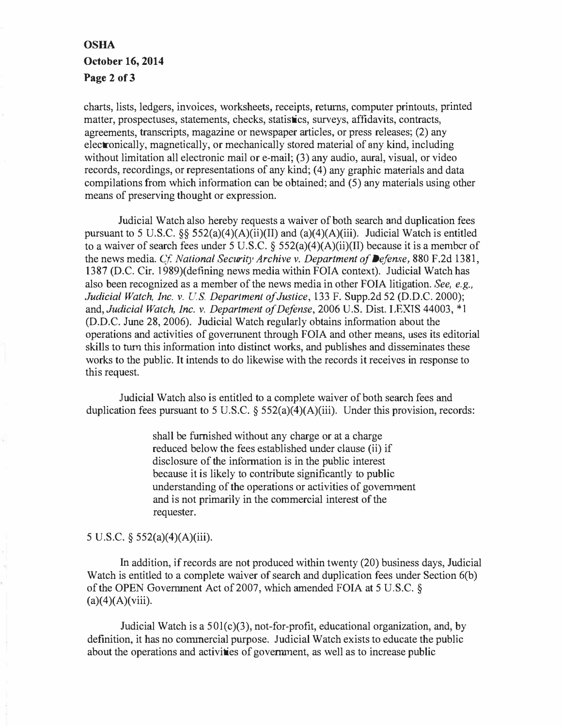# OSHA October 16, 2014 Page 2 of 3

charts, lists, ledgers, invoices, worksheets, receipts, retums, computer printouts, printed matter, prospectuses, statements, checks, statistics, surveys, affidavits, contracts, agreements, transcripts, magazine or newspaper articles, or press releases;  $(2)$  any electronically, magnetically, or mechanically stored material of any kind, including without limitation all electronic mail or e-mail; (3) any audio, aural, visual, or video records, recordings, or representations of any kind; (4) any graphic materials and data compilations from which information can be obtained; and (5) any materials using other means of preserving thought or expression.

Judicial Watch also hereby requests a waiver of both search and duplication fees pursuant to 5 U.S.C. §§  $552(a)(4)(A)(ii)(II)$  and  $(a)(4)(A)(iii)$ . Judicial Watch is entitled to a waiver of search fees under 5 U.S.C. §  $552(a)(4)(A)(ii)(II)$  because it is a member of the news media. Cf. National Security Archive v. Department of Defense, 880 F.2d 1381, 1387 (D.C. Cir. J 989)(defining news media within FOIA context). Judicial Watch has also been recognized as a member of the news media in other FOIA litigation. See, e.g., .Judicial Watch, Inc. v. US. Department of Justice, 133 F. Supp.2d 52 (D.D.C. 2000); and, Judicial Watch, Inc. v. Department of Defense, 2006 U.S. Dist. LEXIS 44003, \*1 (D.D.C. June 28, 2006). Judicial Watch regularly obtains information about the operations and activities of goverrunent through FOIA and other means, uses its editorial skills to turn this information into distinct works, and publishes and disseminates these works to the public. It intends to do likewise with the records it receives in response to this request.

Judicial Watch also is entitled to a complete waiver of both search fees and duplication fees pursuant to 5 U.S.C.  $\S$  552(a)(4)(A)(iii). Under this provision, records:

> shall be furnished without any charge or at a charge reduced below the fees established under clause (ii) if disclosure of the information is in the public interest because it is likely to contribute significantly to public understanding of the operations or activities of government and is not primarily in the commercial interest of the requester.

#### 5 U.S.C. § 552(a)(4)(A)(iii).

In addition, if records are not produced within twenty (20) business days, Judicial Watch is entitled to a complete waiver of search and duplication fees under Section 6(b) of the OPEN Govermnent Act of 2007, which amended FOIA at 5 U.S.C. §  $(a)(4)(A)(viii)$ .

Judicial Watch is a  $501(c)(3)$ , not-for-profit, educational organization, and, by definition, it has no commercial purpose. Judicial Watch exists to educate the public about the operations and activities of government, as well as to increase public